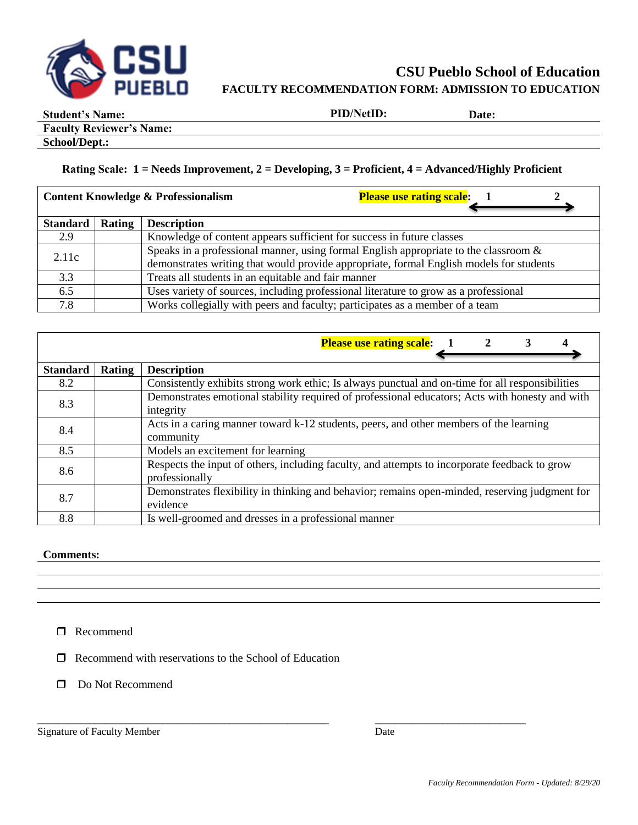

# **CSU Pueblo School of Education FACULTY RECOMMENDATION FORM: ADMISSION TO EDUCATION**

**Student's Name: PID/NetID: Date:**

**Faculty Reviewer's Name:**

**School/Dept.:**

## **Rating Scale: 1 = Needs Improvement, 2 = Developing, 3 = Proficient, 4 = Advanced/Highly Proficient**

| <b>Please use rating scale:</b><br><b>Content Knowledge &amp; Professionalism</b> |               |                                                                                                                                                                                 |  |  |
|-----------------------------------------------------------------------------------|---------------|---------------------------------------------------------------------------------------------------------------------------------------------------------------------------------|--|--|
| Standard                                                                          | <b>Rating</b> | <b>Description</b>                                                                                                                                                              |  |  |
| 2.9                                                                               |               | Knowledge of content appears sufficient for success in future classes                                                                                                           |  |  |
| 2.11c                                                                             |               | Speaks in a professional manner, using formal English appropriate to the classroom &<br>demonstrates writing that would provide appropriate, formal English models for students |  |  |
| 3.3                                                                               |               | Treats all students in an equitable and fair manner                                                                                                                             |  |  |
| 6.5                                                                               |               | Uses variety of sources, including professional literature to grow as a professional                                                                                            |  |  |
| 7.8                                                                               |               | Works collegially with peers and faculty; participates as a member of a team                                                                                                    |  |  |

|                 |        | <b>Please use rating scale:</b> 1 2<br>3                                                                        |
|-----------------|--------|-----------------------------------------------------------------------------------------------------------------|
| <b>Standard</b> | Rating | <b>Description</b>                                                                                              |
| 8.2             |        | Consistently exhibits strong work ethic; Is always punctual and on-time for all responsibilities                |
| 8.3             |        | Demonstrates emotional stability required of professional educators; Acts with honesty and with<br>integrity    |
| 8.4             |        | Acts in a caring manner toward k-12 students, peers, and other members of the learning<br>community             |
| 8.5             |        | Models an excitement for learning                                                                               |
| 8.6             |        | Respects the input of others, including faculty, and attempts to incorporate feedback to grow<br>professionally |
| 8.7             |        | Demonstrates flexibility in thinking and behavior; remains open-minded, reserving judgment for<br>evidence      |
| 8.8             |        | Is well-groomed and dresses in a professional manner                                                            |

\_\_\_\_\_\_\_\_\_\_\_\_\_\_\_\_\_\_\_\_\_\_\_\_\_\_\_\_\_\_\_\_\_\_\_\_\_\_\_\_\_\_\_\_\_\_\_\_\_\_\_\_\_\_\_\_ \_\_\_\_\_\_\_\_\_\_\_\_\_\_\_\_\_\_\_\_\_\_\_\_\_\_\_\_\_

### **Comments:**

**O** Recommend

 $\Box$  Recommend with reservations to the School of Education

Do Not Recommend

Signature of Faculty Member Date